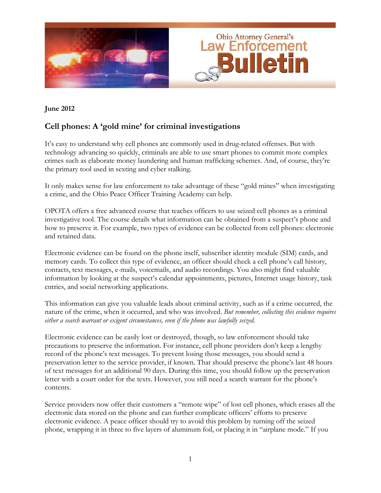

## **June 2012**

# **Cell phones: A 'gold mine' for criminal investigations**

It's easy to understand why cell phones are commonly used in drug-related offenses. But with technology advancing so quickly, criminals are able to use smart phones to commit more complex crimes such as elaborate money laundering and human trafficking schemes. And, of course, they're the primary tool used in sexting and cyber stalking.

It only makes sense for law enforcement to take advantage of these "gold mines" when investigating a crime, and the Ohio Peace Officer Training Academy can help.

OPOTA offers a free advanced course that teaches officers to use seized cell phones as a criminal investigative tool. The course details what information can be obtained from a suspect's phone and how to preserve it. For example, two types of evidence can be collected from cell phones: electronic and retained data.

Electronic evidence can be found on the phone itself, subscriber identity module (SIM) cards, and memory cards. To collect this type of evidence, an officer should check a cell phone's call history, contacts, text messages, e-mails, voicemails, and audio recordings. You also might find valuable information by looking at the suspect's calendar appointments, pictures, Internet usage history, task entries, and social networking applications.

This information can give you valuable leads about criminal activity, such as if a crime occurred, the nature of the crime, when it occurred, and who was involved. *But remember, collecting this evidence requires either a search warrant or exigent circumstances, even if the phone was lawfully seized.* 

Electronic evidence can be easily lost or destroyed, though, so law enforcement should take precautions to preserve the information. For instance, cell phone providers don't keep a lengthy record of the phone's text messages. To prevent losing those messages, you should send a preservation letter to the service provider, if known. That should preserve the phone's last 48 hours of text messages for an additional 90 days. During this time, you should follow up the preservation letter with a court order for the texts. However, you still need a search warrant for the phone's contents.

Service providers now offer their customers a "remote wipe" of lost cell phones, which erases all the electronic data stored on the phone and can further complicate officers' efforts to preserve electronic evidence. A peace officer should try to avoid this problem by turning off the seized phone, wrapping it in three to five layers of aluminum foil, or placing it in "airplane mode." If you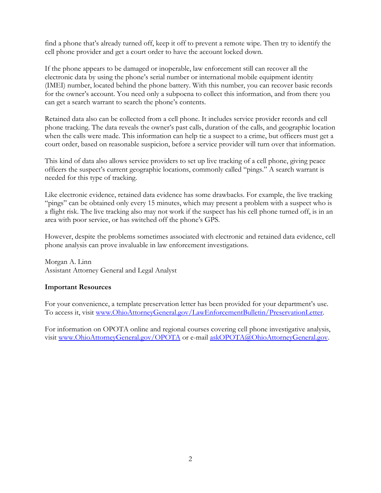find a phone that's already turned off, keep it off to prevent a remote wipe. Then try to identify the cell phone provider and get a court order to have the account locked down.

If the phone appears to be damaged or inoperable, law enforcement still can recover all the electronic data by using the phone's serial number or international mobile equipment identity (IMEI) number, located behind the phone battery. With this number, you can recover basic records for the owner's account. You need only a subpoena to collect this information, and from there you can get a search warrant to search the phone's contents.

Retained data also can be collected from a cell phone. It includes service provider records and cell phone tracking. The data reveals the owner's past calls, duration of the calls, and geographic location when the calls were made. This information can help tie a suspect to a crime, but officers must get a court order, based on reasonable suspicion, before a service provider will turn over that information.

This kind of data also allows service providers to set up live tracking of a cell phone, giving peace officers the suspect's current geographic locations, commonly called "pings." A search warrant is needed for this type of tracking.

Like electronic evidence, retained data evidence has some drawbacks. For example, the live tracking "pings" can be obtained only every 15 minutes, which may present a problem with a suspect who is a flight risk. The live tracking also may not work if the suspect has his cell phone turned off, is in an area with poor service, or has switched off the phone's GPS.

However, despite the problems sometimes associated with electronic and retained data evidence, cell phone analysis can prove invaluable in law enforcement investigations.

Morgan A. Linn Assistant Attorney General and Legal Analyst

#### **Important Resources**

For your convenience, a template preservation letter has been provided for your department's use. To access it, visit www.OhioAttorneyGeneral.gov/LawEnforcementBulletin/PreservationLetter.

For information on OPOTA online and regional courses covering cell phone investigative analysis, visit www.OhioAttorneyGeneral.gov/OPOTA or e-mail askOPOTA@OhioAttorneyGeneral.gov.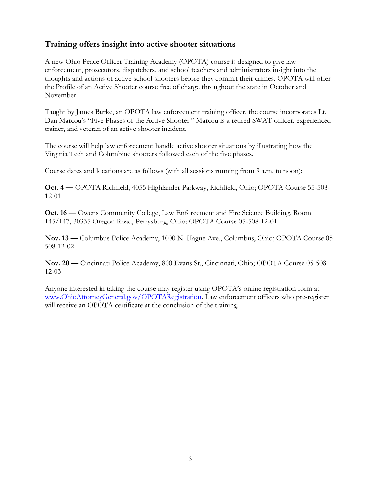## **Training offers insight into active shooter situations**

A new Ohio Peace Officer Training Academy (OPOTA) course is designed to give law enforcement, prosecutors, dispatchers, and school teachers and administrators insight into the thoughts and actions of active school shooters before they commit their crimes. OPOTA will offer the Profile of an Active Shooter course free of charge throughout the state in October and November.

Taught by James Burke, an OPOTA law enforcement training officer, the course incorporates Lt. Dan Marcou's "Five Phases of the Active Shooter." Marcou is a retired SWAT officer, experienced trainer, and veteran of an active shooter incident.

The course will help law enforcement handle active shooter situations by illustrating how the Virginia Tech and Columbine shooters followed each of the five phases.

Course dates and locations are as follows (with all sessions running from 9 a.m. to noon):

**Oct. 4 —** OPOTA Richfield, 4055 Highlander Parkway, Richfield, Ohio; OPOTA Course 55-508- 12-01

**Oct. 16 —** Owens Community College, Law Enforcement and Fire Science Building, Room 145/147, 30335 Oregon Road, Perrysburg, Ohio; OPOTA Course 05-508-12-01

**Nov. 13 —** Columbus Police Academy, 1000 N. Hague Ave., Columbus, Ohio; OPOTA Course 05- 508-12-02

**Nov. 20 —** Cincinnati Police Academy, 800 Evans St., Cincinnati, Ohio; OPOTA Course 05-508- 12-03

Anyone interested in taking the course may register using OPOTA's online registration form at www.OhioAttorneyGeneral.gov/OPOTARegistration. Law enforcement officers who pre-register will receive an OPOTA certificate at the conclusion of the training.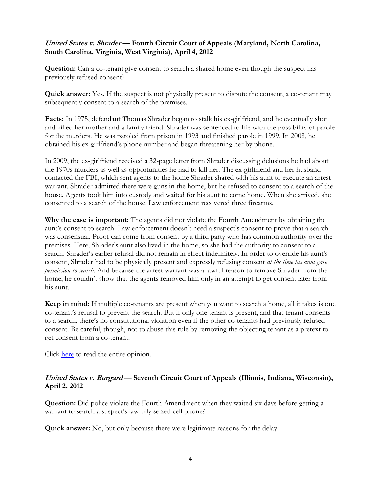## **United States v. Shrader — Fourth Circuit Court of Appeals (Maryland, North Carolina, South Carolina, Virginia, West Virginia), April 4, 2012**

**Question:** Can a co-tenant give consent to search a shared home even though the suspect has previously refused consent?

**Quick answer:** Yes. If the suspect is not physically present to dispute the consent, a co-tenant may subsequently consent to a search of the premises.

**Facts:** In 1975, defendant Thomas Shrader began to stalk his ex-girlfriend, and he eventually shot and killed her mother and a family friend. Shrader was sentenced to life with the possibility of parole for the murders. He was paroled from prison in 1993 and finished parole in 1999. In 2008, he obtained his ex-girlfriend's phone number and began threatening her by phone.

In 2009, the ex-girlfriend received a 32-page letter from Shrader discussing delusions he had about the 1970s murders as well as opportunities he had to kill her. The ex-girlfriend and her husband contacted the FBI, which sent agents to the home Shrader shared with his aunt to execute an arrest warrant. Shrader admitted there were guns in the home, but he refused to consent to a search of the house. Agents took him into custody and waited for his aunt to come home. When she arrived, she consented to a search of the house. Law enforcement recovered three firearms.

**Why the case is important:** The agents did not violate the Fourth Amendment by obtaining the aunt's consent to search. Law enforcement doesn't need a suspect's consent to prove that a search was consensual. Proof can come from consent by a third party who has common authority over the premises. Here, Shrader's aunt also lived in the home, so she had the authority to consent to a search. Shrader's earlier refusal did not remain in effect indefinitely. In order to override his aunt's consent, Shrader had to be physically present and expressly refusing consent *at the time his aunt gave permission to search*. And because the arrest warrant was a lawful reason to remove Shrader from the home, he couldn't show that the agents removed him only in an attempt to get consent later from his aunt.

**Keep in mind:** If multiple co-tenants are present when you want to search a home, all it takes is one co-tenant's refusal to prevent the search. But if only one tenant is present, and that tenant consents to a search, there's no constitutional violation even if the other co-tenants had previously refused consent. Be careful, though, not to abuse this rule by removing the objecting tenant as a pretext to get consent from a co-tenant.

Click [here](http://pacer.ca4.uscourts.gov/opinion.pdf/105169.P.pdf) to read the entire opinion.

## **United States v. Burgard — Seventh Circuit Court of Appeals (Illinois, Indiana, Wisconsin), April 2, 2012**

**Question:** Did police violate the Fourth Amendment when they waited six days before getting a warrant to search a suspect's lawfully seized cell phone?

**Quick answer:** No, but only because there were legitimate reasons for the delay.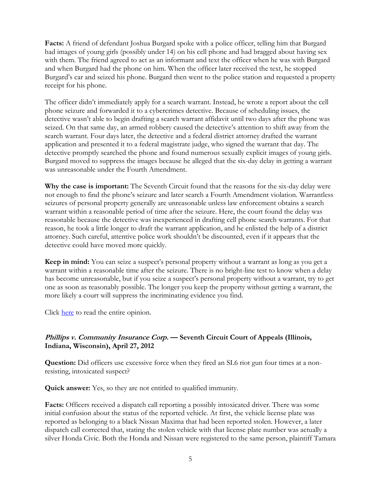**Facts:** A friend of defendant Joshua Burgard spoke with a police officer, telling him that Burgard had images of young girls (possibly under 14) on his cell phone and had bragged about having sex with them. The friend agreed to act as an informant and text the officer when he was with Burgard and when Burgard had the phone on him. When the officer later received the text, he stopped Burgard's car and seized his phone. Burgard then went to the police station and requested a property receipt for his phone.

The officer didn't immediately apply for a search warrant. Instead, he wrote a report about the cell phone seizure and forwarded it to a cybercrimes detective. Because of scheduling issues, the detective wasn't able to begin drafting a search warrant affidavit until two days after the phone was seized. On that same day, an armed robbery caused the detective's attention to shift away from the search warrant. Four days later, the detective and a federal district attorney drafted the warrant application and presented it to a federal magistrate judge, who signed the warrant that day. The detective promptly searched the phone and found numerous sexually explicit images of young girls. Burgard moved to suppress the images because he alleged that the six-day delay in getting a warrant was unreasonable under the Fourth Amendment.

**Why the case is important:** The Seventh Circuit found that the reasons for the six-day delay were not enough to find the phone's seizure and later search a Fourth Amendment violation. Warrantless seizures of personal property generally are unreasonable unless law enforcement obtains a search warrant within a reasonable period of time after the seizure. Here, the court found the delay was reasonable because the detective was inexperienced in drafting cell phone search warrants. For that reason, he took a little longer to draft the warrant application, and he enlisted the help of a district attorney. Such careful, attentive police work shouldn't be discounted, even if it appears that the detective could have moved more quickly.

**Keep in mind:** You can seize a suspect's personal property without a warrant as long as you get a warrant within a reasonable time after the seizure. There is no bright-line test to know when a delay has become unreasonable, but if you seize a suspect's personal property without a warrant, try to get one as soon as reasonably possible. The longer you keep the property without getting a warrant, the more likely a court will suppress the incriminating evidence you find.

Click [here](http://www.ca7.uscourts.gov/fdocs/docs.fwx?submit=showbr&shofile=11-1863_002.pdf) to read the entire opinion.

## **Phillips v. Community Insurance Corp. — Seventh Circuit Court of Appeals (Illinois, Indiana, Wisconsin), April 27, 2012**

**Question:** Did officers use excessive force when they fired an SL6 riot gun four times at a nonresisting, intoxicated suspect?

**Quick answer:** Yes, so they are not entitled to qualified immunity.

**Facts:** Officers received a dispatch call reporting a possibly intoxicated driver. There was some initial confusion about the status of the reported vehicle. At first, the vehicle license plate was reported as belonging to a black Nissan Maxima that had been reported stolen. However, a later dispatch call corrected that, stating the stolen vehicle with that license plate number was actually a silver Honda Civic. Both the Honda and Nissan were registered to the same person, plaintiff Tamara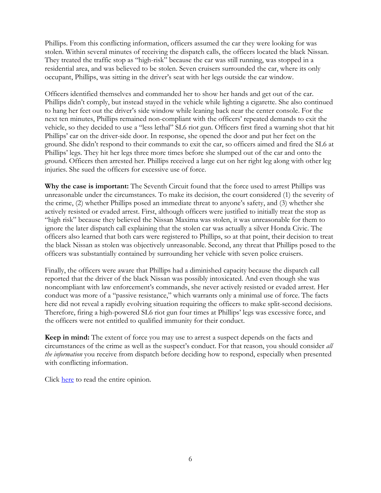Phillips. From this conflicting information, officers assumed the car they were looking for was stolen. Within several minutes of receiving the dispatch calls, the officers located the black Nissan. They treated the traffic stop as "high-risk" because the car was still running, was stopped in a residential area, and was believed to be stolen. Seven cruisers surrounded the car, where its only occupant, Phillips, was sitting in the driver's seat with her legs outside the car window.

Officers identified themselves and commanded her to show her hands and get out of the car. Phillips didn't comply, but instead stayed in the vehicle while lighting a cigarette. She also continued to hang her feet out the driver's side window while leaning back near the center console. For the next ten minutes, Phillips remained non-compliant with the officers' repeated demands to exit the vehicle, so they decided to use a "less lethal" SL6 riot gun. Officers first fired a warning shot that hit Phillips' car on the driver-side door. In response, she opened the door and put her feet on the ground. She didn't respond to their commands to exit the car, so officers aimed and fired the SL6 at Phillips' legs. They hit her legs three more times before she slumped out of the car and onto the ground. Officers then arrested her. Phillips received a large cut on her right leg along with other leg injuries. She sued the officers for excessive use of force.

**Why the case is important:** The Seventh Circuit found that the force used to arrest Phillips was unreasonable under the circumstances. To make its decision, the court considered (1) the severity of the crime, (2) whether Phillips posed an immediate threat to anyone's safety, and (3) whether she actively resisted or evaded arrest. First, although officers were justified to initially treat the stop as "high risk" because they believed the Nissan Maxima was stolen, it was unreasonable for them to ignore the later dispatch call explaining that the stolen car was actually a silver Honda Civic. The officers also learned that both cars were registered to Phillips, so at that point, their decision to treat the black Nissan as stolen was objectively unreasonable. Second, any threat that Phillips posed to the officers was substantially contained by surrounding her vehicle with seven police cruisers.

Finally, the officers were aware that Phillips had a diminished capacity because the dispatch call reported that the driver of the black Nissan was possibly intoxicated. And even though she was noncompliant with law enforcement's commands, she never actively resisted or evaded arrest. Her conduct was more of a "passive resistance," which warrants only a minimal use of force. The facts here did not reveal a rapidly evolving situation requiring the officers to make split-second decisions. Therefore, firing a high-powered SL6 riot gun four times at Phillips' legs was excessive force, and the officers were not entitled to qualified immunity for their conduct.

**Keep in mind:** The extent of force you may use to arrest a suspect depends on the facts and circumstances of the crime as well as the suspect's conduct. For that reason, you should consider *all the information* you receive from dispatch before deciding how to respond, especially when presented with conflicting information.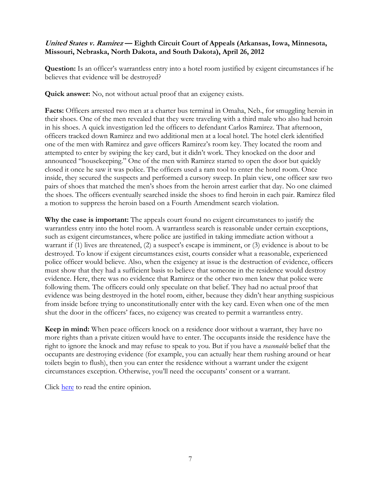## **United States v. Ramirez — Eighth Circuit Court of Appeals (Arkansas, Iowa, Minnesota, Missouri, Nebraska, North Dakota, and South Dakota), April 26, 2012**

**Question:** Is an officer's warrantless entry into a hotel room justified by exigent circumstances if he believes that evidence will be destroyed?

**Quick answer:** No, not without actual proof that an exigency exists.

**Facts:** Officers arrested two men at a charter bus terminal in Omaha, Neb., for smuggling heroin in their shoes. One of the men revealed that they were traveling with a third male who also had heroin in his shoes. A quick investigation led the officers to defendant Carlos Ramirez. That afternoon, officers tracked down Ramirez and two additional men at a local hotel. The hotel clerk identified one of the men with Ramirez and gave officers Ramirez's room key. They located the room and attempted to enter by swiping the key card, but it didn't work. They knocked on the door and announced "housekeeping." One of the men with Ramirez started to open the door but quickly closed it once he saw it was police. The officers used a ram tool to enter the hotel room. Once inside, they secured the suspects and performed a cursory sweep. In plain view, one officer saw two pairs of shoes that matched the men's shoes from the heroin arrest earlier that day. No one claimed the shoes. The officers eventually searched inside the shoes to find heroin in each pair. Ramirez filed a motion to suppress the heroin based on a Fourth Amendment search violation.

**Why the case is important:** The appeals court found no exigent circumstances to justify the warrantless entry into the hotel room. A warrantless search is reasonable under certain exceptions, such as exigent circumstances, where police are justified in taking immediate action without a warrant if (1) lives are threatened, (2) a suspect's escape is imminent, or (3) evidence is about to be destroyed. To know if exigent circumstances exist, courts consider what a reasonable, experienced police officer would believe. Also, when the exigency at issue is the destruction of evidence, officers must show that they had a sufficient basis to believe that someone in the residence would destroy evidence. Here, there was no evidence that Ramirez or the other two men knew that police were following them. The officers could only speculate on that belief. They had no actual proof that evidence was being destroyed in the hotel room, either, because they didn't hear anything suspicious from inside before trying to unconstitutionally enter with the key card. Even when one of the men shut the door in the officers' faces, no exigency was created to permit a warrantless entry.

**Keep in mind:** When peace officers knock on a residence door without a warrant, they have no more rights than a private citizen would have to enter. The occupants inside the residence have the right to ignore the knock and may refuse to speak to you. But if you have a *reasonable* belief that the occupants are destroying evidence (for example, you can actually hear them rushing around or hear toilets begin to flush), then you can enter the residence without a warrant under the exigent circumstances exception. Otherwise, you'll need the occupants' consent or a warrant.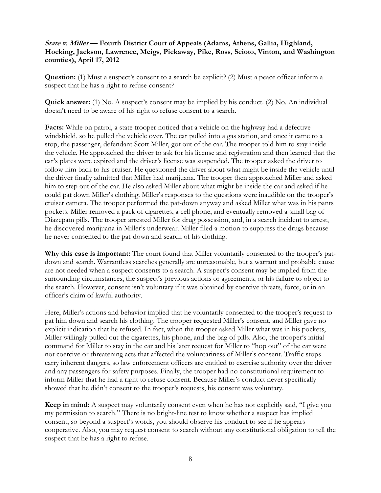## **State v. Miller — Fourth District Court of Appeals (Adams, Athens, Gallia, Highland, Hocking, Jackson, Lawrence, Meigs, Pickaway, Pike, Ross, Scioto, Vinton, and Washington counties), April 17, 2012**

**Question:** (1) Must a suspect's consent to a search be explicit? (2) Must a peace officer inform a suspect that he has a right to refuse consent?

**Quick answer:** (1) No. A suspect's consent may be implied by his conduct. (2) No. An individual doesn't need to be aware of his right to refuse consent to a search.

**Facts:** While on patrol, a state trooper noticed that a vehicle on the highway had a defective windshield, so he pulled the vehicle over. The car pulled into a gas station, and once it came to a stop, the passenger, defendant Scott Miller, got out of the car. The trooper told him to stay inside the vehicle. He approached the driver to ask for his license and registration and then learned that the car's plates were expired and the driver's license was suspended. The trooper asked the driver to follow him back to his cruiser. He questioned the driver about what might be inside the vehicle until the driver finally admitted that Miller had marijuana. The trooper then approached Miller and asked him to step out of the car. He also asked Miller about what might be inside the car and asked if he could pat down Miller's clothing. Miller's responses to the questions were inaudible on the trooper's cruiser camera. The trooper performed the pat-down anyway and asked Miller what was in his pants pockets. Miller removed a pack of cigarettes, a cell phone, and eventually removed a small bag of Diazepam pills. The trooper arrested Miller for drug possession, and, in a search incident to arrest, he discovered marijuana in Miller's underwear. Miller filed a motion to suppress the drugs because he never consented to the pat-down and search of his clothing.

**Why this case is important:** The court found that Miller voluntarily consented to the trooper's patdown and search. Warrantless searches generally are unreasonable, but a warrant and probable cause are not needed when a suspect consents to a search. A suspect's consent may be implied from the surrounding circumstances, the suspect's previous actions or agreements, or his failure to object to the search. However, consent isn't voluntary if it was obtained by coercive threats, force, or in an officer's claim of lawful authority.

Here, Miller's actions and behavior implied that he voluntarily consented to the trooper's request to pat him down and search his clothing. The trooper requested Miller's consent, and Miller gave no explicit indication that he refused. In fact, when the trooper asked Miller what was in his pockets, Miller willingly pulled out the cigarettes, his phone, and the bag of pills. Also, the trooper's initial command for Miller to stay in the car and his later request for Miller to "hop out" of the car were not coercive or threatening acts that affected the voluntariness of Miller's consent. Traffic stops carry inherent dangers, so law enforcement officers are entitled to exercise authority over the driver and any passengers for safety purposes. Finally, the trooper had no constitutional requirement to inform Miller that he had a right to refuse consent. Because Miller's conduct never specifically showed that he didn't consent to the trooper's requests, his consent was voluntary.

**Keep in mind:** A suspect may voluntarily consent even when he has not explicitly said, "I give you my permission to search." There is no bright-line test to know whether a suspect has implied consent, so beyond a suspect's words, you should observe his conduct to see if he appears cooperative. Also, you may request consent to search without any constitutional obligation to tell the suspect that he has a right to refuse.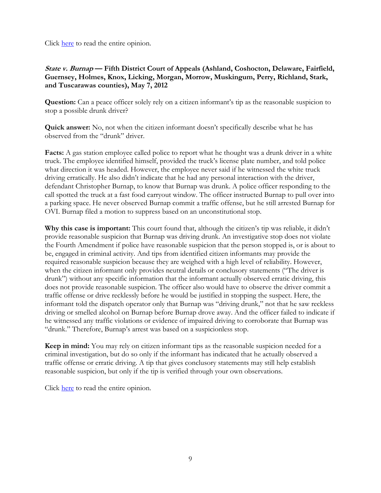Click [here t](http://www.supremecourtofohio.gov/rod/docs/pdf/4/2012/2012-ohio-1901.pdf)o read the entire opinion.

**State v. Burnap — Fifth District Court of Appeals (Ashland, Coshocton, Delaware, Fairfield, Guernsey, Holmes, Knox, Licking, Morgan, Morrow, Muskingum, Perry, Richland, Stark, and Tuscarawas counties), May 7, 2012**

**Question:** Can a peace officer solely rely on a citizen informant's tip as the reasonable suspicion to stop a possible drunk driver?

**Quick answer:** No, not when the citizen informant doesn't specifically describe what he has observed from the "drunk" driver.

**Facts:** A gas station employee called police to report what he thought was a drunk driver in a white truck. The employee identified himself, provided the truck's license plate number, and told police what direction it was headed. However, the employee never said if he witnessed the white truck driving erratically. He also didn't indicate that he had any personal interaction with the driver, defendant Christopher Burnap, to know that Burnap was drunk. A police officer responding to the call spotted the truck at a fast food carryout window. The officer instructed Burnap to pull over into a parking space. He never observed Burnap commit a traffic offense, but he still arrested Burnap for OVI. Burnap filed a motion to suppress based on an unconstitutional stop.

**Why this case is important:** This court found that, although the citizen's tip was reliable, it didn't provide reasonable suspicion that Burnap was driving drunk. An investigative stop does not violate the Fourth Amendment if police have reasonable suspicion that the person stopped is, or is about to be, engaged in criminal activity. And tips from identified citizen informants may provide the required reasonable suspicion because they are weighed with a high level of reliability. However, when the citizen informant only provides neutral details or conclusory statements ("The driver is drunk") without any specific information that the informant actually observed erratic driving, this does not provide reasonable suspicion. The officer also would have to observe the driver commit a traffic offense or drive recklessly before he would be justified in stopping the suspect. Here, the informant told the dispatch operator only that Burnap was "driving drunk," not that he saw reckless driving or smelled alcohol on Burnap before Burnap drove away. And the officer failed to indicate if he witnessed any traffic violations or evidence of impaired driving to corroborate that Burnap was "drunk." Therefore, Burnap's arrest was based on a suspicionless stop.

**Keep in mind:** You may rely on citizen informant tips as the reasonable suspicion needed for a criminal investigation, but do so only if the informant has indicated that he actually observed a traffic offense or erratic driving. A tip that gives conclusory statements may still help establish reasonable suspicion, but only if the tip is verified through your own observations.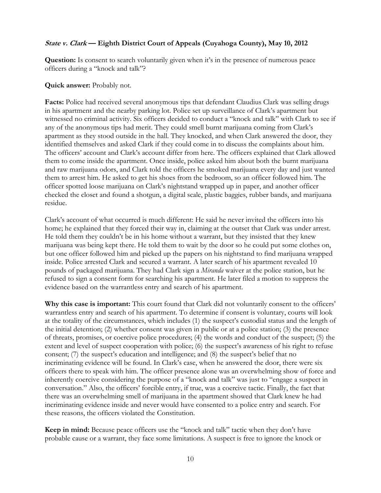## **State v. Clark — Eighth District Court of Appeals (Cuyahoga County), May 10, 2012**

**Question:** Is consent to search voluntarily given when it's in the presence of numerous peace officers during a "knock and talk"?

#### **Quick answer:** Probably not.

**Facts:** Police had received several anonymous tips that defendant Claudius Clark was selling drugs in his apartment and the nearby parking lot. Police set up surveillance of Clark's apartment but witnessed no criminal activity. Six officers decided to conduct a "knock and talk" with Clark to see if any of the anonymous tips had merit. They could smell burnt marijuana coming from Clark's apartment as they stood outside in the hall. They knocked, and when Clark answered the door, they identified themselves and asked Clark if they could come in to discuss the complaints about him. The officers' account and Clark's account differ from here. The officers explained that Clark allowed them to come inside the apartment. Once inside, police asked him about both the burnt marijuana and raw marijuana odors, and Clark told the officers he smoked marijuana every day and just wanted them to arrest him. He asked to get his shoes from the bedroom, so an officer followed him. The officer spotted loose marijuana on Clark's nightstand wrapped up in paper, and another officer checked the closet and found a shotgun, a digital scale, plastic baggies, rubber bands, and marijuana residue.

Clark's account of what occurred is much different: He said he never invited the officers into his home; he explained that they forced their way in, claiming at the outset that Clark was under arrest. He told them they couldn't be in his home without a warrant, but they insisted that they knew marijuana was being kept there. He told them to wait by the door so he could put some clothes on, but one officer followed him and picked up the papers on his nightstand to find marijuana wrapped inside. Police arrested Clark and secured a warrant. A later search of his apartment revealed 10 pounds of packaged marijuana. They had Clark sign a *Miranda* waiver at the police station, but he refused to sign a consent form for searching his apartment. He later filed a motion to suppress the evidence based on the warrantless entry and search of his apartment.

**Why this case is important:** This court found that Clark did not voluntarily consent to the officers' warrantless entry and search of his apartment. To determine if consent is voluntary, courts will look at the totality of the circumstances, which includes (1) the suspect's custodial status and the length of the initial detention; (2) whether consent was given in public or at a police station; (3) the presence of threats, promises, or coercive police procedures; (4) the words and conduct of the suspect; (5) the extent and level of suspect cooperation with police; (6) the suspect's awareness of his right to refuse consent; (7) the suspect's education and intelligence; and (8) the suspect's belief that no incriminating evidence will be found. In Clark's case, when he answered the door, there were six officers there to speak with him. The officer presence alone was an overwhelming show of force and inherently coercive considering the purpose of a "knock and talk" was just to "engage a suspect in conversation." Also, the officers' forcible entry, if true, was a coercive tactic. Finally, the fact that there was an overwhelming smell of marijuana in the apartment showed that Clark knew he had incriminating evidence inside and never would have consented to a police entry and search. For these reasons, the officers violated the Constitution.

**Keep in mind:** Because peace officers use the "knock and talk" tactic when they don't have probable cause or a warrant, they face some limitations. A suspect is free to ignore the knock or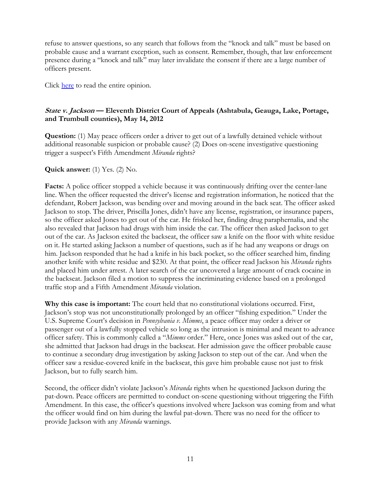refuse to answer questions, so any search that follows from the "knock and talk" must be based on probable cause and a warrant exception, such as consent. Remember, though, that law enforcement presence during a "knock and talk" may later invalidate the consent if there are a large number of officers present.

Click [here](http://www.supremecourtofohio.gov/rod/docs/pdf/8/2012/2012-ohio-2058.pdf) to read the entire opinion.

## **State v. Jackson — Eleventh District Court of Appeals (Ashtabula, Geauga, Lake, Portage, and Trumbull counties), May 14, 2012**

**Question:** (1) May peace officers order a driver to get out of a lawfully detained vehicle without additional reasonable suspicion or probable cause? (2) Does on-scene investigative questioning trigger a suspect's Fifth Amendment *Miranda* rights?

**Quick answer:** (1) Yes. (2) No.

**Facts:** A police officer stopped a vehicle because it was continuously drifting over the center-lane line. When the officer requested the driver's license and registration information, he noticed that the defendant, Robert Jackson, was bending over and moving around in the back seat. The officer asked Jackson to stop. The driver, Priscilla Jones, didn't have any license, registration, or insurance papers, so the officer asked Jones to get out of the car. He frisked her, finding drug paraphernalia, and she also revealed that Jackson had drugs with him inside the car. The officer then asked Jackson to get out of the car. As Jackson exited the backseat, the officer saw a knife on the floor with white residue on it. He started asking Jackson a number of questions, such as if he had any weapons or drugs on him. Jackson responded that he had a knife in his back pocket, so the officer searched him, finding another knife with white residue and \$230. At that point, the officer read Jackson his *Miranda* rights and placed him under arrest. A later search of the car uncovered a large amount of crack cocaine in the backseat. Jackson filed a motion to suppress the incriminating evidence based on a prolonged traffic stop and a Fifth Amendment *Miranda* violation.

**Why this case is important:** The court held that no constitutional violations occurred. First, Jackson's stop was not unconstitutionally prolonged by an officer "fishing expedition." Under the U.S. Supreme Court's decision in *Pennsylvania v. Mimms*, a peace officer may order a driver or passenger out of a lawfully stopped vehicle so long as the intrusion is minimal and meant to advance officer safety. This is commonly called a "*Mimms* order." Here, once Jones was asked out of the car, she admitted that Jackson had drugs in the backseat. Her admission gave the officer probable cause to continue a secondary drug investigation by asking Jackson to step out of the car. And when the officer saw a residue-covered knife in the backseat, this gave him probable cause not just to frisk Jackson, but to fully search him.

Second, the officer didn't violate Jackson's *Miranda* rights when he questioned Jackson during the pat-down. Peace officers are permitted to conduct on-scene questioning without triggering the Fifth Amendment. In this case, the officer's questions involved where Jackson was coming from and what the officer would find on him during the lawful pat-down. There was no need for the officer to provide Jackson with any *Miranda* warnings.